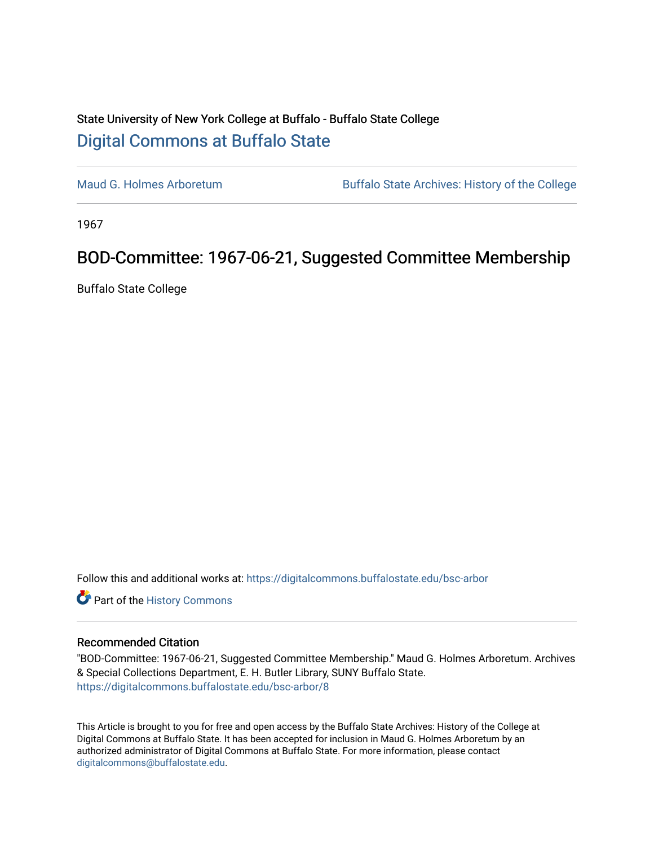## State University of New York College at Buffalo - Buffalo State College [Digital Commons at Buffalo State](https://digitalcommons.buffalostate.edu/)

[Maud G. Holmes Arboretum](https://digitalcommons.buffalostate.edu/bsc-arbor) Buffalo State Archives: History of the College

1967

## BOD-Committee: 1967-06-21, Suggested Committee Membership

Buffalo State College

Follow this and additional works at: [https://digitalcommons.buffalostate.edu/bsc-arbor](https://digitalcommons.buffalostate.edu/bsc-arbor?utm_source=digitalcommons.buffalostate.edu%2Fbsc-arbor%2F8&utm_medium=PDF&utm_campaign=PDFCoverPages) 

Part of the [History Commons](http://network.bepress.com/hgg/discipline/489?utm_source=digitalcommons.buffalostate.edu%2Fbsc-arbor%2F8&utm_medium=PDF&utm_campaign=PDFCoverPages) 

## Recommended Citation

"BOD-Committee: 1967-06-21, Suggested Committee Membership." Maud G. Holmes Arboretum. Archives & Special Collections Department, E. H. Butler Library, SUNY Buffalo State. [https://digitalcommons.buffalostate.edu/bsc-arbor/8](https://digitalcommons.buffalostate.edu/bsc-arbor/8?utm_source=digitalcommons.buffalostate.edu%2Fbsc-arbor%2F8&utm_medium=PDF&utm_campaign=PDFCoverPages)

This Article is brought to you for free and open access by the Buffalo State Archives: History of the College at Digital Commons at Buffalo State. It has been accepted for inclusion in Maud G. Holmes Arboretum by an authorized administrator of Digital Commons at Buffalo State. For more information, please contact [digitalcommons@buffalostate.edu.](mailto:digitalcommons@buffalostate.edu)